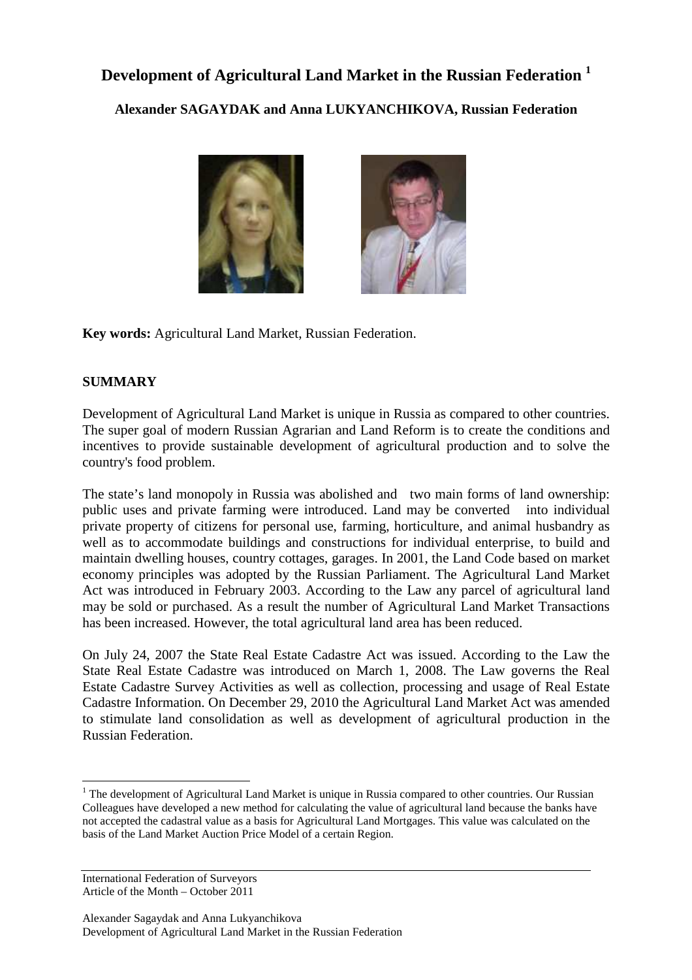# **Development of Agricultural Land Market in the Russian Federation <sup>1</sup>**

**Alexander SAGAYDAK and Anna LUKYANCHIKOVA, Russian Federation** 



**Key words:** Agricultural Land Market, Russian Federation.

## **SUMMARY**

Development of Agricultural Land Market is unique in Russia as compared to other countries. The super goal of modern Russian Agrarian and Land Reform is to create the conditions and incentives to provide sustainable development of agricultural production and to solve the country's food problem.

The state's land monopoly in Russia was abolished and two main forms of land ownership: public uses and private farming were introduced. Land may be converted into individual private property of citizens for personal use, farming, horticulture, and animal husbandry as well as to accommodate buildings and constructions for individual enterprise, to build and maintain dwelling houses, country cottages, garages. In 2001, the Land Code based on market economy principles was adopted by the Russian Parliament. The Agricultural Land Market Act was introduced in February 2003. According to the Law any parcel of agricultural land may be sold or purchased. As a result the number of Agricultural Land Market Transactions has been increased. However, the total agricultural land area has been reduced.

On July 24, 2007 the State Real Estate Cadastre Act was issued. According to the Law the State Real Estate Cadastre was introduced on March 1, 2008. The Law governs the Real Estate Cadastre Survey Activities as well as collection, processing and usage of Real Estate Cadastre Information. On December 29, 2010 the Agricultural Land Market Act was amended to stimulate land consolidation as well as development of agricultural production in the Russian Federation.

International Federation of Surveyors Article of the Month – October 2011

 $\overline{a}$ 

<sup>&</sup>lt;sup>1</sup> The development of Agricultural Land Market is unique in Russia compared to other countries. Our Russian Colleagues have developed a new method for calculating the value of agricultural land because the banks have not accepted the cadastral value as a basis for Agricultural Land Mortgages. This value was calculated on the basis of the Land Market Auction Price Model of a certain Region.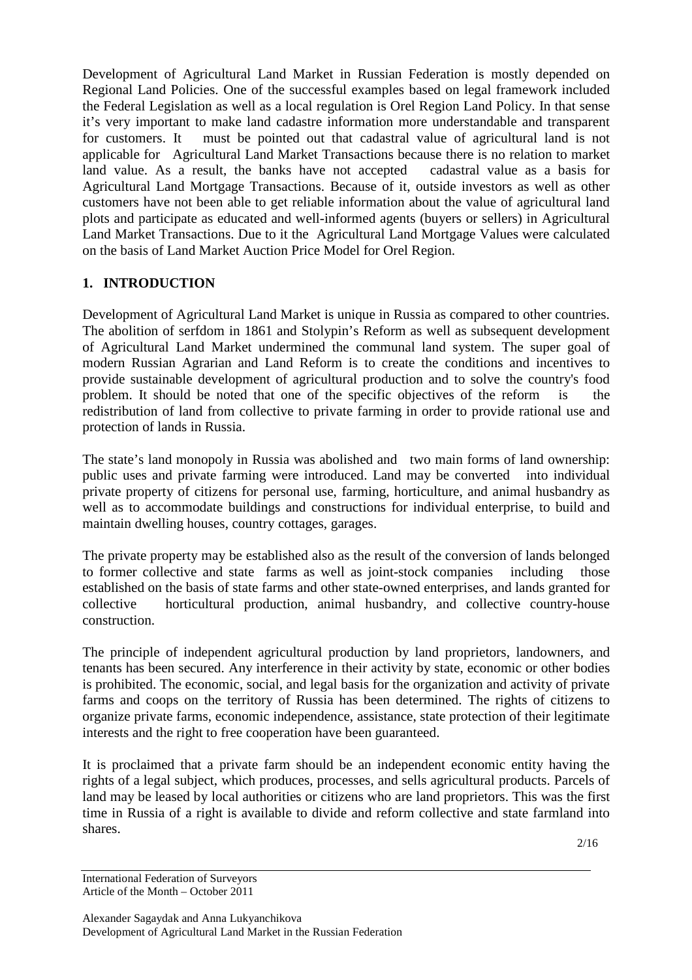Development of Agricultural Land Market in Russian Federation is mostly depended on Regional Land Policies. One of the successful examples based on legal framework included the Federal Legislation as well as a local regulation is Orel Region Land Policy. In that sense it's very important to make land cadastre information more understandable and transparent for customers. It must be pointed out that cadastral value of agricultural land is not applicable for Agricultural Land Market Transactions because there is no relation to market land value. As a result, the banks have not accepted cadastral value as a basis for Agricultural Land Mortgage Transactions. Because of it, outside investors as well as other customers have not been able to get reliable information about the value of agricultural land plots and participate as educated and well-informed agents (buyers or sellers) in Agricultural Land Market Transactions. Due to it the Agricultural Land Mortgage Values were calculated on the basis of Land Market Auction Price Model for Orel Region.

# **1. INTRODUCTION**

Development of Agricultural Land Market is unique in Russia as compared to other countries. The abolition of serfdom in 1861 and Stolypin's Reform as well as subsequent development of Agricultural Land Market undermined the communal land system. The super goal of modern Russian Agrarian and Land Reform is to create the conditions and incentives to provide sustainable development of agricultural production and to solve the country's food problem. It should be noted that one of the specific objectives of the reform is the redistribution of land from collective to private farming in order to provide rational use and protection of lands in Russia.

The state's land monopoly in Russia was abolished and two main forms of land ownership: public uses and private farming were introduced. Land may be converted into individual private property of citizens for personal use, farming, horticulture, and animal husbandry as well as to accommodate buildings and constructions for individual enterprise, to build and maintain dwelling houses, country cottages, garages.

The private property may be established also as the result of the conversion of lands belonged to former collective and state farms as well as joint-stock companies including those established on the basis of state farms and other state-owned enterprises, and lands granted for collective horticultural production, animal husbandry, and collective country-house construction.

The principle of independent agricultural production by land proprietors, landowners, and tenants has been secured. Any interference in their activity by state, economic or other bodies is prohibited. The economic, social, and legal basis for the organization and activity of private farms and coops on the territory of Russia has been determined. The rights of citizens to organize private farms, economic independence, assistance, state protection of their legitimate interests and the right to free cooperation have been guaranteed.

It is proclaimed that a private farm should be an independent economic entity having the rights of a legal subject, which produces, processes, and sells agricultural products. Parcels of land may be leased by local authorities or citizens who are land proprietors. This was the first time in Russia of a right is available to divide and reform collective and state farmland into shares.

International Federation of Surveyors Article of the Month – October 2011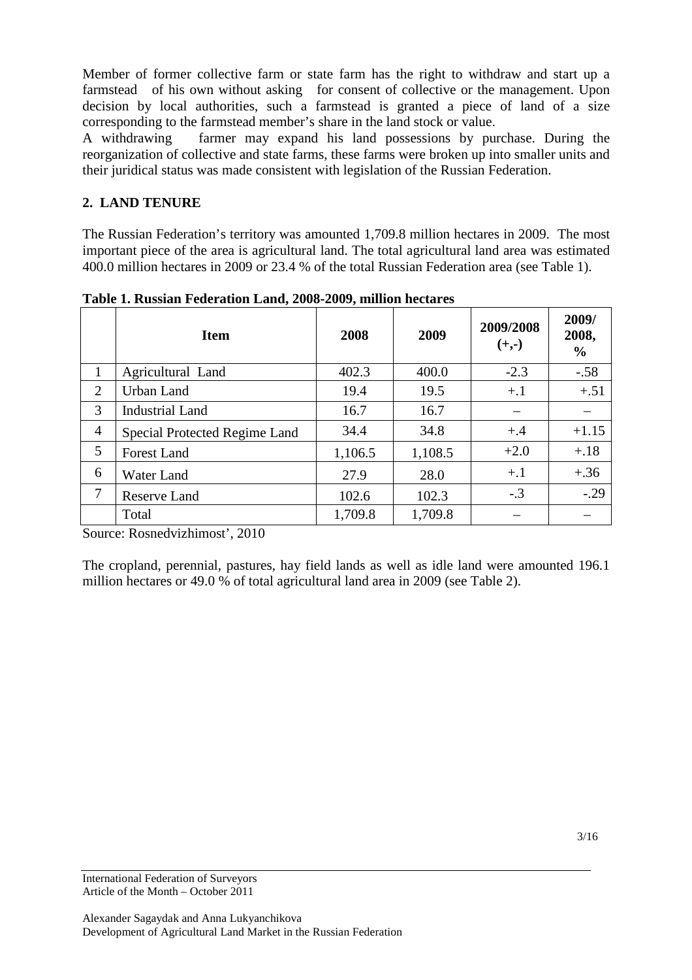Member of former collective farm or state farm has the right to withdraw and start up a farmstead of his own without asking for consent of collective or the management. Upon decision by local authorities, such a farmstead is granted a piece of land of a size corresponding to the farmstead member's share in the land stock or value.

A withdrawing farmer may expand his land possessions by purchase. During the reorganization of collective and state farms, these farms were broken up into smaller units and their juridical status was made consistent with legislation of the Russian Federation.

# **2. LAND TENURE**

The Russian Federation's territory was amounted 1,709.8 million hectares in 2009. The most important piece of the area is agricultural land. The total agricultural land area was estimated 400.0 million hectares in 2009 or 23.4 % of the total Russian Federation area (see Table 1).

|                | <b>Item</b>                   | 2008    | 2009    | 2009/2008<br>$(+,-)$ | 2009/<br>2008,<br>$\frac{0}{0}$ |
|----------------|-------------------------------|---------|---------|----------------------|---------------------------------|
| 1              | Agricultural Land             | 402.3   | 400.0   | $-2.3$               | $-.58$                          |
| 2              | <b>Urban Land</b>             | 19.4    | 19.5    | $+.1$                | $+.51$                          |
| 3              | <b>Industrial Land</b>        | 16.7    | 16.7    |                      |                                 |
| $\overline{4}$ | Special Protected Regime Land | 34.4    | 34.8    | $+.4$                | $+1.15$                         |
| 5              | Forest Land                   | 1,106.5 | 1,108.5 | $+2.0$               | $+.18$                          |
| 6              | <b>Water Land</b>             | 27.9    | 28.0    | $+.1$                | $+.36$                          |
| 7              | <b>Reserve Land</b>           | 102.6   | 102.3   | $-.3$                | $-.29$                          |
|                | Total                         | 1,709.8 | 1,709.8 |                      |                                 |

**Table 1. Russian Federation Land, 2008-2009, million hectares** 

Source: Rosnedvizhimost', 2010

The cropland, perennial, pastures, hay field lands as well as idle land were amounted 196.1 million hectares or 49.0 % of total agricultural land area in 2009 (see Table 2).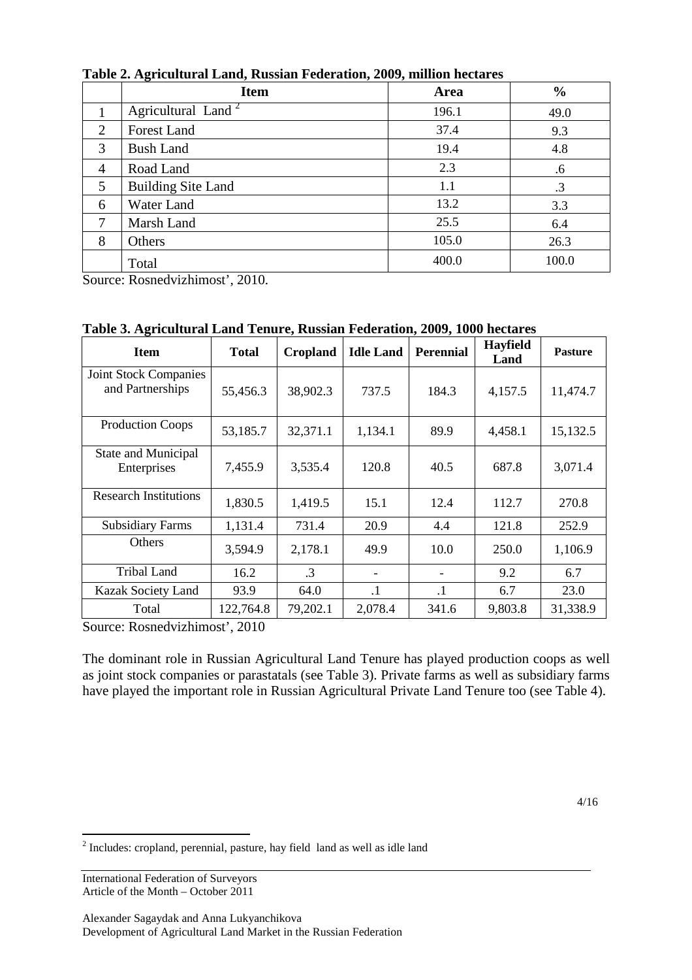|                | <b>Item</b>                    | Area  | $\frac{0}{0}$ |
|----------------|--------------------------------|-------|---------------|
|                | Agricultural Land <sup>2</sup> | 196.1 | 49.0          |
| $\overline{2}$ | <b>Forest Land</b>             | 37.4  | 9.3           |
| 3              | <b>Bush Land</b>               | 19.4  | 4.8           |
| $\overline{4}$ | Road Land                      | 2.3   | .6            |
| 5              | <b>Building Site Land</b>      | 1.1   | .3            |
| 6              | Water Land                     | 13.2  | 3.3           |
| 7              | Marsh Land                     | 25.5  | 6.4           |
| 8              | Others                         | 105.0 | 26.3          |
|                | Total                          | 400.0 | 100.0         |

**Table 2. Agricultural Land, Russian Federation, 2009, million hectares** 

Source: Rosnedvizhimost', 2010.

| <b>Item</b>                                      | <b>Total</b> | Cropland  | <b>Idle Land</b> | Perennial | <b>Hayfield</b><br>Land | <b>Pasture</b> |
|--------------------------------------------------|--------------|-----------|------------------|-----------|-------------------------|----------------|
| <b>Joint Stock Companies</b><br>and Partnerships | 55,456.3     | 38,902.3  | 737.5            | 184.3     | 4,157.5                 | 11,474.7       |
| <b>Production Coops</b>                          | 53,185.7     | 32,371.1  | 1,134.1          | 89.9      | 4,458.1                 | 15,132.5       |
| <b>State and Municipal</b><br>Enterprises        | 7,455.9      | 3,535.4   | 120.8            | 40.5      | 687.8                   | 3,071.4        |
| <b>Research Institutions</b>                     | 1,830.5      | 1,419.5   | 15.1             | 12.4      | 112.7                   | 270.8          |
| <b>Subsidiary Farms</b>                          | 1,131.4      | 731.4     | 20.9             | 4.4       | 121.8                   | 252.9          |
| Others                                           | 3,594.9      | 2,178.1   | 49.9             | 10.0      | 250.0                   | 1,106.9        |
| <b>Tribal Land</b>                               | 16.2         | $\cdot$ 3 |                  |           | 9.2                     | 6.7            |
| <b>Kazak Society Land</b>                        | 93.9         | 64.0      | $\cdot$ 1        | $\cdot$ 1 | 6.7                     | 23.0           |
| Total                                            | 122,764.8    | 79,202.1  | 2,078.4          | 341.6     | 9,803.8                 | 31,338.9       |

**Table 3. Agricultural Land Tenure, Russian Federation, 2009, 1000 hectares** 

Source: Rosnedvizhimost', 2010

The dominant role in Russian Agricultural Land Tenure has played production coops as well as joint stock companies or parastatals (see Table 3). Private farms as well as subsidiary farms have played the important role in Russian Agricultural Private Land Tenure too (see Table 4).

 $2^{2}$  Includes: cropland, perennial, pasture, hay field land as well as idle land

 $\overline{a}$ 

International Federation of Surveyors Article of the Month – October 2011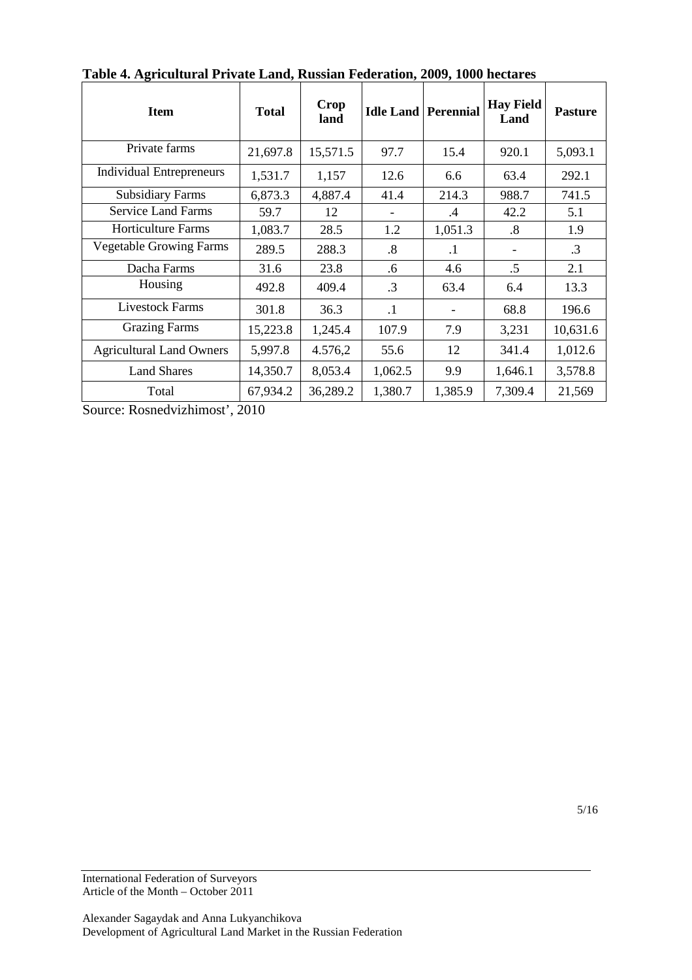| <b>Item</b>                     | <b>Total</b> | Crop<br>land |           | <b>Idle Land Perennial</b> | <b>Hay Field</b><br>Land | <b>Pasture</b> |
|---------------------------------|--------------|--------------|-----------|----------------------------|--------------------------|----------------|
| Private farms                   | 21,697.8     | 15,571.5     | 97.7      | 15.4                       | 920.1                    | 5,093.1        |
| Individual Entrepreneurs        | 1,531.7      | 1,157        | 12.6      | 6.6                        | 63.4                     | 292.1          |
| <b>Subsidiary Farms</b>         | 6,873.3      | 4,887.4      | 41.4      | 214.3                      | 988.7                    | 741.5          |
| <b>Service Land Farms</b>       | 59.7         | 12           | -         | $\cdot$ 4                  | 42.2                     | 5.1            |
| <b>Horticulture Farms</b>       | 1,083.7      | 28.5         | 1.2       | 1,051.3                    | $\boldsymbol{.8}$        | 1.9            |
| <b>Vegetable Growing Farms</b>  | 289.5        | 288.3        | $\cdot$ 8 | $\cdot$ 1                  |                          | .3             |
| Dacha Farms                     | 31.6         | 23.8         | .6        | 4.6                        | .5                       | 2.1            |
| Housing                         | 492.8        | 409.4        | $\cdot$ 3 | 63.4                       | 6.4                      | 13.3           |
| <b>Livestock Farms</b>          | 301.8        | 36.3         | $\cdot$ 1 |                            | 68.8                     | 196.6          |
| <b>Grazing Farms</b>            | 15,223.8     | 1,245.4      | 107.9     | 7.9                        | 3,231                    | 10,631.6       |
| <b>Agricultural Land Owners</b> | 5,997.8      | 4.576,2      | 55.6      | 12                         | 341.4                    | 1,012.6        |
| <b>Land Shares</b>              | 14,350.7     | 8,053.4      | 1,062.5   | 9.9                        | 1,646.1                  | 3,578.8        |
| Total                           | 67,934.2     | 36,289.2     | 1,380.7   | 1,385.9                    | 7,309.4                  | 21,569         |

**Table 4. Agricultural Private Land, Russian Federation, 2009, 1000 hectares** 

Source: Rosnedvizhimost', 2010

5/16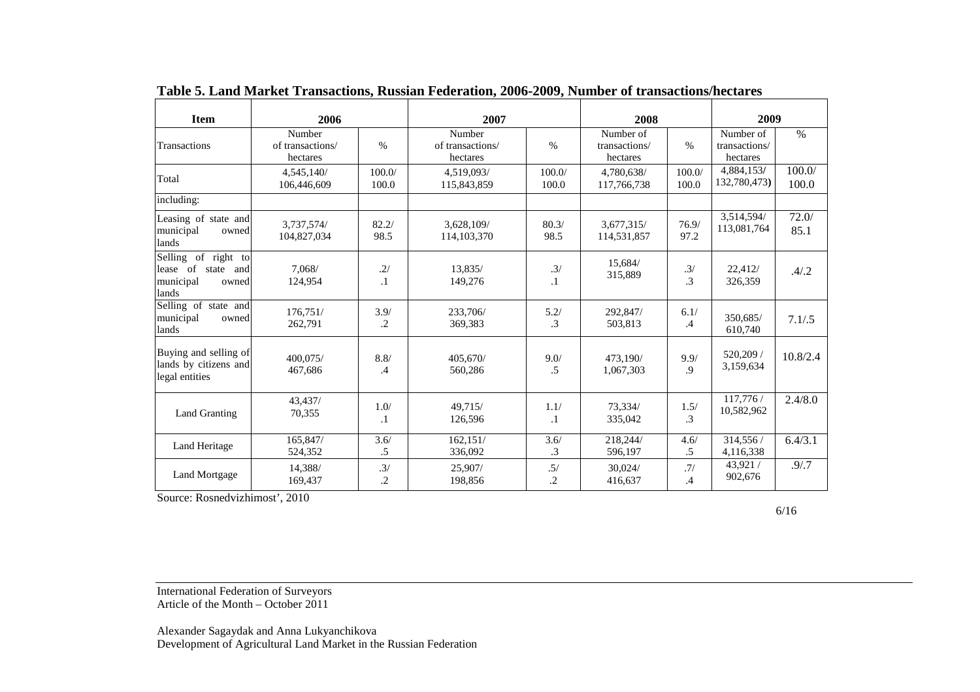| <b>Item</b>                                                                 | 2006                                   |                       | 2007                                   |                   | 2008                                   |                  | 2009                                   |                 |
|-----------------------------------------------------------------------------|----------------------------------------|-----------------------|----------------------------------------|-------------------|----------------------------------------|------------------|----------------------------------------|-----------------|
| Transactions                                                                | Number<br>of transactions/<br>hectares | $\%$                  | Number<br>of transactions/<br>hectares | $\%$              | Number of<br>transactions/<br>hectares | $\%$             | Number of<br>transactions/<br>hectares | $\%$            |
| Total                                                                       | 4,545,140/<br>106,446,609              | 100.0/<br>100.0       | 4,519,093/<br>115,843,859              | 100.0/<br>100.0   | 4,780,638/<br>117,766,738              | 100.0/<br>100.0  | 4,884,153/<br>132,780,473)             | 100.0/<br>100.0 |
| including:                                                                  |                                        |                       |                                        |                   |                                        |                  |                                        |                 |
| Leasing of state and<br>municipal<br>owned<br>lands                         | 3,737,574/<br>104,827,034              | 82.2/<br>98.5         | 3,628,109/<br>114, 103, 370            | 80.3/<br>98.5     | 3,677,315/<br>114,531,857              | 76.9/<br>97.2    | 3,514,594/<br>113,081,764              | 72.0/<br>85.1   |
| Selling of right to<br>lease of state<br>and<br>municipal<br>owned<br>lands | 7,068/<br>124,954                      | .2/<br>$\cdot$ 1      | 13,835/<br>149,276                     | .3/<br>$\cdot$    | 15,684/<br>315,889                     | .3/<br>$\cdot$ 3 | 22,412/<br>326,359                     | .4/.2           |
| Selling of state and<br>municipal<br>owned<br>lands                         | 176,751/<br>262,791                    | 3.9/<br>.2            | 233,706/<br>369,383                    | 5.2/<br>$\cdot$ 3 | 292,847/<br>503,813                    | 6.1/<br>.4       | 350,685/<br>610,740                    | 7.1/5           |
| Buying and selling of<br>lands by citizens and<br>legal entities            | 400.075/<br>467,686                    | 8.8/<br>$\mathcal{A}$ | 405.670/<br>560,286                    | 9.0/<br>.5        | 473,190/<br>1,067,303                  | $9.9/$<br>.9     | 520,209 /<br>3,159,634                 | 10.8/2.4        |
| Land Granting                                                               | 43,437/<br>70,355                      | 1.0/<br>$\cdot$ 1     | 49,715/<br>126,596                     | 1.1/<br>$\cdot$ 1 | 73,334/<br>335,042                     | $1.5/$<br>.3     | 117,776 /<br>10,582,962                | 2.4/8.0         |
| Land Heritage                                                               | 165,847/<br>524,352                    | 3.6/<br>.5            | 162,151/<br>336,092                    | 3.6/<br>.3        | 218,244/<br>596,197                    | 4.6/<br>$.5\,$   | 314,556/<br>4,116,338                  | 6.4/3.1         |
| Land Mortgage                                                               | 14,388/<br>169,437                     | .3/<br>.2             | 25,907/<br>198,856                     | .5/<br>.2         | 30.024/<br>416,637                     | .7/<br>$\cdot$ 4 | 43,921 /<br>902,676                    | .9/0.7          |

**Table 5. Land Market Transactions, Russian Federation, 2006-2009, Number of transactions/hectares** 

Source: Rosnedvizhimost', 2010

6/16

International Federation of Surveyors Article of the Month – October 2011

Alexander Sagaydak and Anna Lukyanchikova Development of Agricultural Land Market in the Russian Federation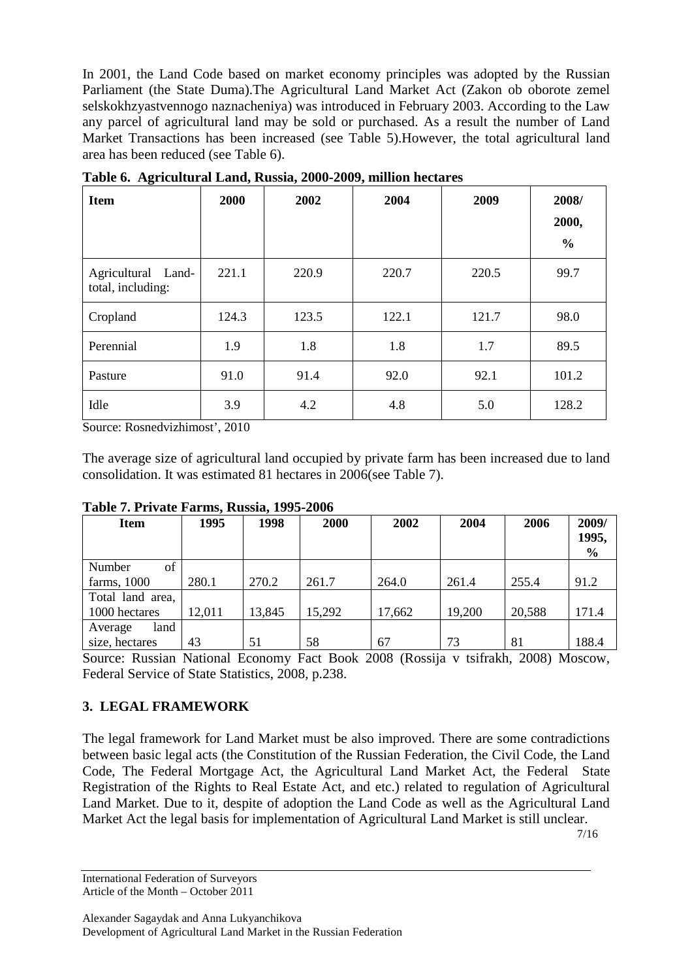In 2001, the Land Code based on market economy principles was adopted by the Russian Parliament (the State Duma).The Agricultural Land Market Act (Zakon ob oborote zemel selskokhzyastvennogo naznacheniya) was introduced in February 2003. According to the Law any parcel of agricultural land may be sold or purchased. As a result the number of Land Market Transactions has been increased (see Table 5).However, the total agricultural land area has been reduced (see Table 6).

| <b>Item</b>                             | 2000  | 2002  | 2004  | 2009  | 2008/<br>2000,<br>$\frac{6}{6}$ |
|-----------------------------------------|-------|-------|-------|-------|---------------------------------|
| Agricultural Land-<br>total, including: | 221.1 | 220.9 | 220.7 | 220.5 | 99.7                            |
| Cropland                                | 124.3 | 123.5 | 122.1 | 121.7 | 98.0                            |
| Perennial                               | 1.9   | 1.8   | 1.8   | 1.7   | 89.5                            |
| Pasture                                 | 91.0  | 91.4  | 92.0  | 92.1  | 101.2                           |
| Idle                                    | 3.9   | 4.2   | 4.8   | 5.0   | 128.2                           |

**Table 6. Agricultural Land, Russia, 2000-2009, million hectares** 

Source: Rosnedvizhimost', 2010

The average size of agricultural land occupied by private farm has been increased due to land consolidation. It was estimated 81 hectares in 2006(see Table 7).

| <b>Item</b>      | 1995   | 1998   | 2000   | 2002   | 2004   | 2006   | 2009/<br>1995,<br>$\frac{6}{9}$ |
|------------------|--------|--------|--------|--------|--------|--------|---------------------------------|
| of<br>Number     |        |        |        |        |        |        |                                 |
| farms, 1000      | 280.1  | 270.2  | 261.7  | 264.0  | 261.4  | 255.4  | 91.2                            |
| Total land area, |        |        |        |        |        |        |                                 |
| 1000 hectares    | 12,011 | 13,845 | 15,292 | 17,662 | 19,200 | 20,588 | 171.4                           |
| land<br>Average  |        |        |        |        |        |        |                                 |
| size, hectares   | 43     | 51     | 58     | 67     | 73     | 81     | 188.4                           |

#### **Table 7. Private Farms, Russia, 1995-2006**

Source: Russian National Economy Fact Book 2008 (Rossija v tsifrakh, 2008) Moscow, Federal Service of State Statistics, 2008, p.238.

# **3. LEGAL FRAMEWORK**

The legal framework for Land Market must be also improved. There are some contradictions between basic legal acts (the Constitution of the Russian Federation, the Civil Code, the Land Code, The Federal Mortgage Act, the Agricultural Land Market Act, the Federal State Registration of the Rights to Real Estate Act, and etc.) related to regulation of Agricultural Land Market. Due to it, despite of adoption the Land Code as well as the Agricultural Land Market Act the legal basis for implementation of Agricultural Land Market is still unclear. 7/16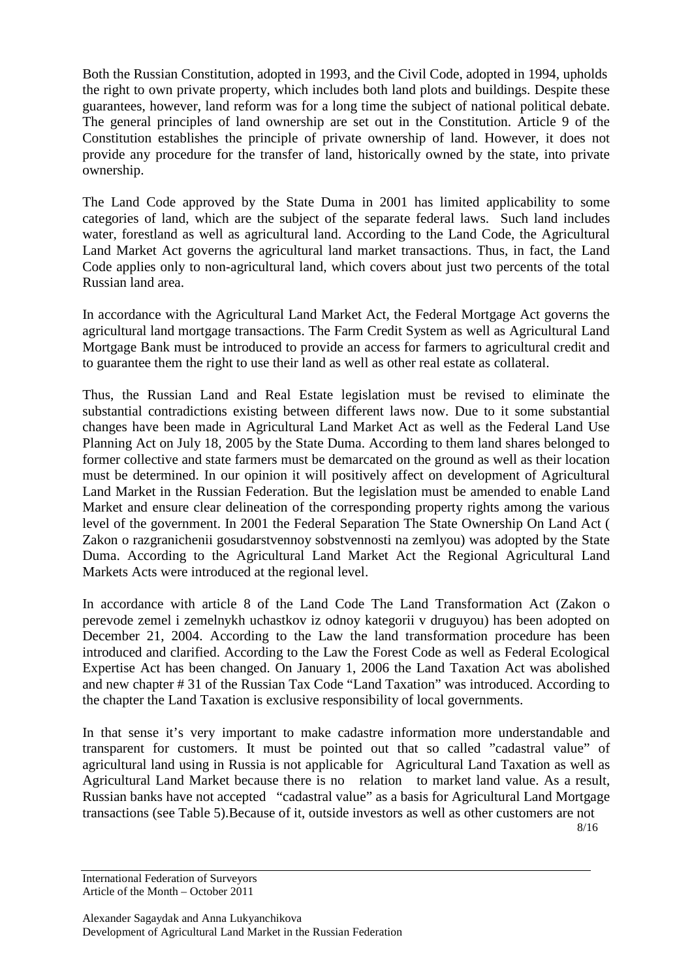Both the Russian Constitution, adopted in 1993, and the Civil Code, adopted in 1994, upholds the right to own private property, which includes both land plots and buildings. Despite these guarantees, however, land reform was for a long time the subject of national political debate. The general principles of land ownership are set out in the Constitution. Article 9 of the Constitution establishes the principle of private ownership of land. However, it does not provide any procedure for the transfer of land, historically owned by the state, into private ownership.

The Land Code approved by the State Duma in 2001 has limited applicability to some categories of land, which are the subject of the separate federal laws. Such land includes water, forestland as well as agricultural land. According to the Land Code, the Agricultural Land Market Act governs the agricultural land market transactions. Thus, in fact, the Land Code applies only to non-agricultural land, which covers about just two percents of the total Russian land area.

In accordance with the Agricultural Land Market Act, the Federal Mortgage Act governs the agricultural land mortgage transactions. The Farm Credit System as well as Agricultural Land Mortgage Bank must be introduced to provide an access for farmers to agricultural credit and to guarantee them the right to use their land as well as other real estate as collateral.

Thus, the Russian Land and Real Estate legislation must be revised to eliminate the substantial contradictions existing between different laws now. Due to it some substantial changes have been made in Agricultural Land Market Act as well as the Federal Land Use Planning Act on July 18, 2005 by the State Duma. According to them land shares belonged to former collective and state farmers must be demarcated on the ground as well as their location must be determined. In our opinion it will positively affect on development of Agricultural Land Market in the Russian Federation. But the legislation must be amended to enable Land Market and ensure clear delineation of the corresponding property rights among the various level of the government. In 2001 the Federal Separation The State Ownership On Land Act ( Zakon o razgranichenii gosudarstvennoy sobstvennosti na zemlyou) was adopted by the State Duma. According to the Agricultural Land Market Act the Regional Agricultural Land Markets Acts were introduced at the regional level.

In accordance with article 8 of the Land Code The Land Transformation Act (Zakon o perevode zemel i zemelnykh uchastkov iz odnoy kategorii v druguyou) has been adopted on December 21, 2004. According to the Law the land transformation procedure has been introduced and clarified. According to the Law the Forest Code as well as Federal Ecological Expertise Act has been changed. On January 1, 2006 the Land Taxation Act was abolished and new chapter # 31 of the Russian Tax Code "Land Taxation" was introduced. According to the chapter the Land Taxation is exclusive responsibility of local governments.

In that sense it's very important to make cadastre information more understandable and transparent for customers. It must be pointed out that so called "cadastral value" of agricultural land using in Russia is not applicable for Agricultural Land Taxation as well as Agricultural Land Market because there is no relation to market land value. As a result, Russian banks have not accepted "cadastral value" as a basis for Agricultural Land Mortgage transactions (see Table 5).Because of it, outside investors as well as other customers are not

8/16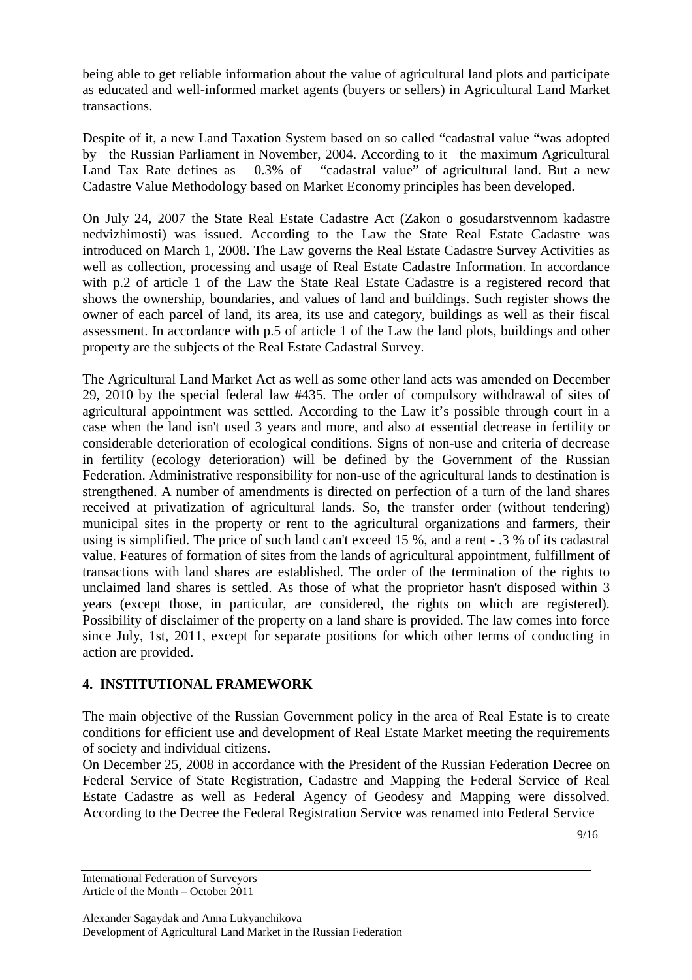being able to get reliable information about the value of agricultural land plots and participate as educated and well-informed market agents (buyers or sellers) in Agricultural Land Market transactions.

Despite of it, a new Land Taxation System based on so called "cadastral value "was adopted by the Russian Parliament in November, 2004. According to it the maximum Agricultural Land Tax Rate defines as 0.3% of "cadastral value" of agricultural land. But a new Cadastre Value Methodology based on Market Economy principles has been developed.

On July 24, 2007 the State Real Estate Cadastre Act (Zakon o gosudarstvennom kadastre nedvizhimosti) was issued. According to the Law the State Real Estate Cadastre was introduced on March 1, 2008. The Law governs the Real Estate Cadastre Survey Activities as well as collection, processing and usage of Real Estate Cadastre Information. In accordance with p.2 of article 1 of the Law the State Real Estate Cadastre is a registered record that shows the ownership, boundaries, and values of land and buildings. Such register shows the owner of each parcel of land, its area, its use and category, buildings as well as their fiscal assessment. In accordance with p.5 of article 1 of the Law the land plots, buildings and other property are the subjects of the Real Estate Cadastral Survey.

The Agricultural Land Market Act as well as some other land acts was amended on December 29, 2010 by the special federal law #435. The order of compulsory withdrawal of sites of agricultural appointment was settled. According to the Law it's possible through court in a case when the land isn't used 3 years and more, and also at essential decrease in fertility or considerable deterioration of ecological conditions. Signs of non-use and criteria of decrease in fertility (ecology deterioration) will be defined by the Government of the Russian Federation. Administrative responsibility for non-use of the agricultural lands to destination is strengthened. A number of amendments is directed on perfection of a turn of the land shares received at privatization of agricultural lands. So, the transfer order (without tendering) municipal sites in the property or rent to the agricultural organizations and farmers, their using is simplified. The price of such land can't exceed 15 %, and a rent - .3 % of its cadastral value. Features of formation of sites from the lands of agricultural appointment, fulfillment of transactions with land shares are established. The order of the termination of the rights to unclaimed land shares is settled. As those of what the proprietor hasn't disposed within 3 years (except those, in particular, are considered, the rights on which are registered). Possibility of disclaimer of the property on a land share is provided. The law comes into force since July, 1st, 2011, except for separate positions for which other terms of conducting in action are provided.

#### **4. INSTITUTIONAL FRAMEWORK**

The main objective of the Russian Government policy in the area of Real Estate is to create conditions for efficient use and development of Real Estate Market meeting the requirements of society and individual citizens.

On December 25, 2008 in accordance with the President of the Russian Federation Decree on Federal Service of State Registration, Cadastre and Mapping the Federal Service of Real Estate Cadastre as well as Federal Agency of Geodesy and Mapping were dissolved. According to the Decree the Federal Registration Service was renamed into Federal Service

9/16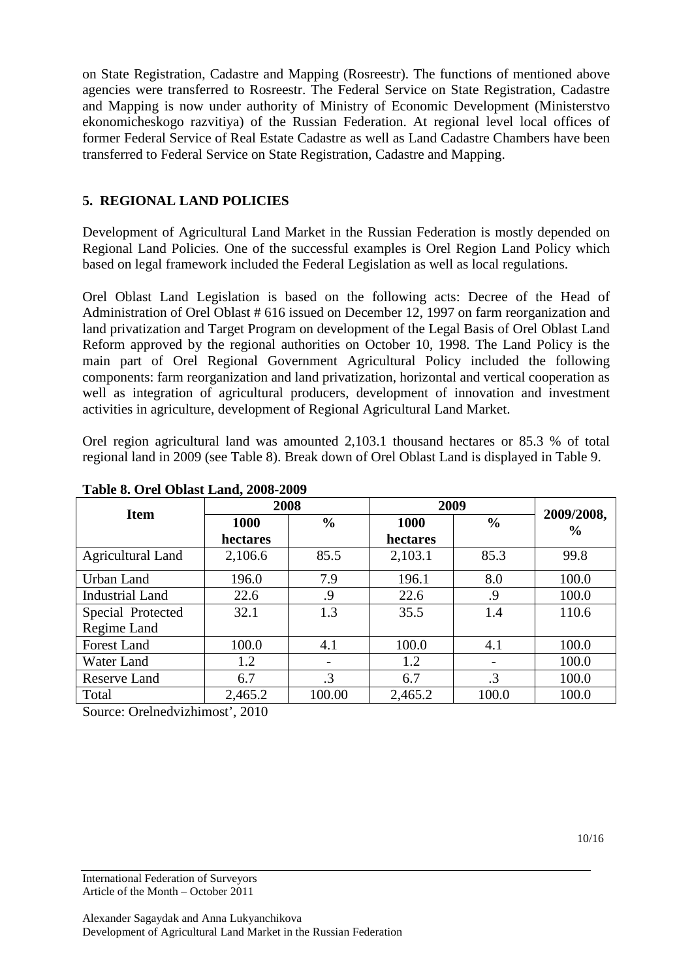on State Registration, Cadastre and Mapping (Rosreestr). The functions of mentioned above agencies were transferred to Rosreestr. The Federal Service on State Registration, Cadastre and Mapping is now under authority of Ministry of Economic Development (Ministerstvo ekonomicheskogo razvitiya) of the Russian Federation. At regional level local offices of former Federal Service of Real Estate Cadastre as well as Land Cadastre Chambers have been transferred to Federal Service on State Registration, Cadastre and Mapping.

# **5. REGIONAL LAND POLICIES**

Development of Agricultural Land Market in the Russian Federation is mostly depended on Regional Land Policies. One of the successful examples is Orel Region Land Policy which based on legal framework included the Federal Legislation as well as local regulations.

Orel Oblast Land Legislation is based on the following acts: Decree of the Head of Administration of Orel Oblast # 616 issued on December 12, 1997 on farm reorganization and land privatization and Target Program on development of the Legal Basis of Orel Oblast Land Reform approved by the regional authorities on October 10, 1998. The Land Policy is the main part of Orel Regional Government Agricultural Policy included the following components: farm reorganization and land privatization, horizontal and vertical cooperation as well as integration of agricultural producers, development of innovation and investment activities in agriculture, development of Regional Agricultural Land Market.

Orel region agricultural land was amounted 2,103.1 thousand hectares or 85.3 % of total regional land in 2009 (see Table 8). Break down of Orel Oblast Land is displayed in Table 9.

| <b>Item</b>              | 2008     |               | 2009     |               | 2009/2008,    |  |  |  |  |
|--------------------------|----------|---------------|----------|---------------|---------------|--|--|--|--|
|                          | 1000     | $\frac{0}{0}$ | 1000     | $\frac{0}{0}$ |               |  |  |  |  |
|                          | hectares |               | hectares |               | $\frac{6}{6}$ |  |  |  |  |
| <b>Agricultural Land</b> | 2,106.6  | 85.5          | 2,103.1  | 85.3          | 99.8          |  |  |  |  |
| Urban Land               | 196.0    | 7.9           | 196.1    | 8.0           | 100.0         |  |  |  |  |
| <b>Industrial Land</b>   | 22.6     | .9            | 22.6     | .9            | 100.0         |  |  |  |  |
| Special Protected        | 32.1     | 1.3           | 35.5     | 1.4           | 110.6         |  |  |  |  |
| Regime Land              |          |               |          |               |               |  |  |  |  |
| <b>Forest Land</b>       | 100.0    | 4.1           | 100.0    | 4.1           | 100.0         |  |  |  |  |
| Water Land               | 1.2      |               | 1.2      |               | 100.0         |  |  |  |  |
| <b>Reserve Land</b>      | 6.7      | $\cdot$ 3     | 6.7      | $\cdot$ 3     | 100.0         |  |  |  |  |
| Total                    | 2,465.2  | 100.00        | 2,465.2  | 100.0         | 100.0         |  |  |  |  |

#### **Table 8. Orel Oblast Land, 2008-2009**

Source: Orelnedvizhimost', 2010

10/16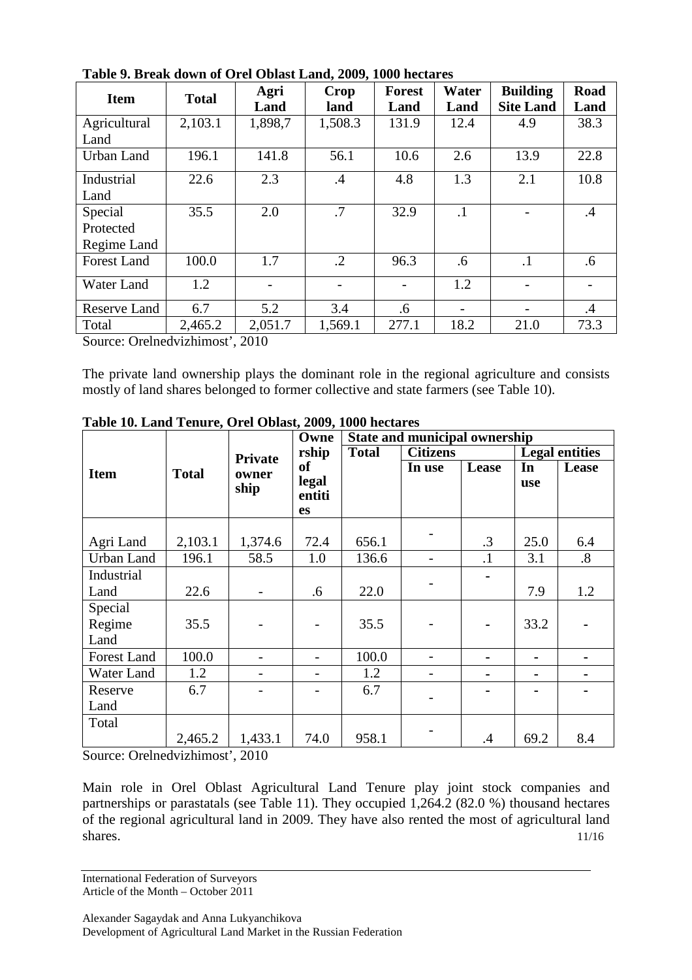| <b>Item</b>        | <b>Total</b> | Agri<br>Land | Crop<br>land  | <b>Forest</b><br>Land | Water<br>Land | <b>Building</b><br><b>Site Land</b> | <b>Road</b><br>Land |
|--------------------|--------------|--------------|---------------|-----------------------|---------------|-------------------------------------|---------------------|
| Agricultural       | 2,103.1      | 1,898,7      | 1,508.3       | 131.9                 | 12.4          | 4.9                                 | 38.3                |
| Land               |              |              |               |                       |               |                                     |                     |
| Urban Land         | 196.1        | 141.8        | 56.1          | 10.6                  | 2.6           | 13.9                                | 22.8                |
| Industrial         | 22.6         | 2.3          | $\mathcal{A}$ | 4.8                   | 1.3           | 2.1                                 | 10.8                |
| Land               |              |              |               |                       |               |                                     |                     |
| Special            | 35.5         | 2.0          | .7            | 32.9                  | $\cdot$ 1     |                                     | $\mathcal{A}$       |
| Protected          |              |              |               |                       |               |                                     |                     |
| Regime Land        |              |              |               |                       |               |                                     |                     |
| <b>Forest Land</b> | 100.0        | 1.7          | $\cdot$ .2    | 96.3                  | .6            | $\cdot$ 1                           | .6                  |
| Water Land         | 1.2          |              |               |                       | 1.2           |                                     |                     |
| Reserve Land       | 6.7          | 5.2          | 3.4           | .6                    |               |                                     | $\cdot$             |
| Total              | 2,465.2      | 2,051.7      | 1,569.1       | 277.1                 | 18.2          | 21.0                                | 73.3                |

**Table 9. Break down of Orel Oblast Land, 2009, 1000 hectares** 

Source: Orelnedvizhimost', 2010

The private land ownership plays the dominant role in the regional agriculture and consists mostly of land shares belonged to former collective and state farmers (see Table 10).

|                    |              |                | Owne            | <b>State and municipal ownership</b> |                 |           |                       |                   |
|--------------------|--------------|----------------|-----------------|--------------------------------------|-----------------|-----------|-----------------------|-------------------|
|                    |              | <b>Private</b> | rship           | <b>Total</b>                         | <b>Citizens</b> |           | <b>Legal entities</b> |                   |
| <b>Item</b>        | <b>Total</b> | owner          | <sub>of</sub>   |                                      | In use          | Lease     | In                    | Lease             |
|                    |              | ship           | legal<br>entiti |                                      |                 |           | use                   |                   |
|                    |              |                | <b>es</b>       |                                      |                 |           |                       |                   |
|                    |              |                |                 |                                      |                 |           |                       |                   |
| Agri Land          | 2,103.1      | 1,374.6        | 72.4            | 656.1                                |                 | .3        | 25.0                  | 6.4               |
| Urban Land         | 196.1        | 58.5           | 1.0             | 136.6                                |                 | $\cdot$ 1 | 3.1                   | $\boldsymbol{.8}$ |
| Industrial         |              |                |                 |                                      |                 |           |                       |                   |
| Land               | 22.6         |                | .6              | 22.0                                 |                 |           | 7.9                   | 1.2               |
| Special            |              |                |                 |                                      |                 |           |                       |                   |
| Regime             | 35.5         |                |                 | 35.5                                 |                 |           | 33.2                  |                   |
| Land               |              |                |                 |                                      |                 |           |                       |                   |
| <b>Forest Land</b> | 100.0        |                |                 | 100.0                                |                 |           |                       |                   |
| Water Land         | 1.2          |                |                 | 1.2                                  |                 |           |                       |                   |
| Reserve            | 6.7          |                |                 | 6.7                                  |                 |           |                       |                   |
| Land               |              |                |                 |                                      |                 |           |                       |                   |
| Total              |              |                |                 |                                      |                 |           |                       |                   |
|                    | 2,465.2<br>. | 1,433.1        | 74.0            | 958.1                                |                 | $\cdot$   | 69.2                  | 8.4               |

**Table 10. Land Tenure, Orel Oblast, 2009, 1000 hectares** 

Source: Orelnedvizhimost', 2010

Main role in Orel Oblast Agricultural Land Tenure play joint stock companies and partnerships or parastatals (see Table 11). They occupied  $1,264.2$  (82.0 %) thousand hectares of the regional agricultural land in 2009. They have also rented the most of agricultural land shares. 11/16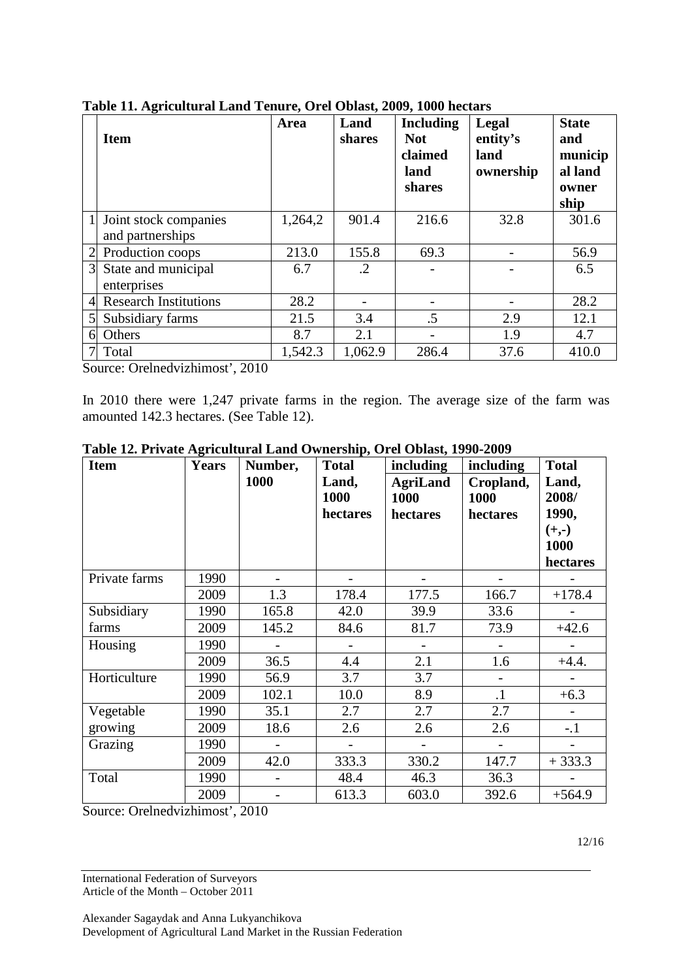|                | <b>Item</b>                               | Area    | Land<br>shares | <b>Including</b><br><b>Not</b><br>claimed<br>land<br>shares | Legal<br>entity's<br>land<br>ownership | <b>State</b><br>and<br>municip<br>al land<br>owner<br>ship |
|----------------|-------------------------------------------|---------|----------------|-------------------------------------------------------------|----------------------------------------|------------------------------------------------------------|
|                | Joint stock companies<br>and partnerships | 1,264,2 | 901.4          | 216.6                                                       | 32.8                                   | 301.6                                                      |
|                |                                           |         |                |                                                             |                                        |                                                            |
|                | Production coops                          | 213.0   | 155.8          | 69.3                                                        |                                        | 56.9                                                       |
| 3              | State and municipal                       | 6.7     | .2             |                                                             |                                        | 6.5                                                        |
|                | enterprises                               |         |                |                                                             |                                        |                                                            |
| $\overline{4}$ | <b>Research Institutions</b>              | 28.2    |                |                                                             |                                        | 28.2                                                       |
| 5              | Subsidiary farms                          | 21.5    | 3.4            | $.5\,$                                                      | 2.9                                    | 12.1                                                       |
| 6              | Others                                    | 8.7     | 2.1            |                                                             | 1.9                                    | 4.7                                                        |
|                | Total                                     | 1,542.3 | 1,062.9        | 286.4                                                       | 37.6                                   | 410.0                                                      |

**Table 11. Agricultural Land Tenure, Orel Oblast, 2009, 1000 hectars** 

Source: Orelnedvizhimost', 2010

In 2010 there were 1,247 private farms in the region. The average size of the farm was amounted 142.3 hectares. (See Table 12).

| <b>Item</b>   | <b>Years</b> | Number, | <b>Total</b>              | including                           | including                     | <b>Total</b>                |
|---------------|--------------|---------|---------------------------|-------------------------------------|-------------------------------|-----------------------------|
|               |              | 1000    | Land,<br>1000<br>hectares | <b>AgriLand</b><br>1000<br>hectares | Cropland,<br>1000<br>hectares | Land,<br>2008/<br>1990,     |
|               |              |         |                           |                                     |                               | $(+,-)$<br>1000<br>hectares |
| Private farms | 1990         |         |                           |                                     |                               |                             |
|               | 2009         | 1.3     | 178.4                     | 177.5                               | 166.7                         | $+178.4$                    |
| Subsidiary    | 1990         | 165.8   | 42.0                      | 39.9                                | 33.6                          |                             |
| farms         | 2009         | 145.2   | 84.6                      | 81.7                                | 73.9                          | $+42.6$                     |
| Housing       | 1990         |         |                           |                                     |                               |                             |
|               | 2009         | 36.5    | 4.4                       | 2.1                                 | 1.6                           | $+4.4.$                     |
| Horticulture  | 1990         | 56.9    | 3.7                       | 3.7                                 |                               |                             |
|               | 2009         | 102.1   | 10.0                      | 8.9                                 | $\cdot$                       | $+6.3$                      |
| Vegetable     | 1990         | 35.1    | 2.7                       | 2.7                                 | 2.7                           |                             |
| growing       | 2009         | 18.6    | 2.6                       | 2.6                                 | 2.6                           | $-.1$                       |
| Grazing       | 1990         |         | $\overline{\phantom{0}}$  | $\overline{\phantom{a}}$            |                               |                             |
|               | 2009         | 42.0    | 333.3                     | 330.2                               | 147.7                         | $+333.3$                    |
| Total         | 1990         |         | 48.4                      | 46.3                                | 36.3                          |                             |
|               | 2009         |         | 613.3                     | 603.0                               | 392.6                         | $+564.9$                    |

Source: Orelnedvizhimost', 2010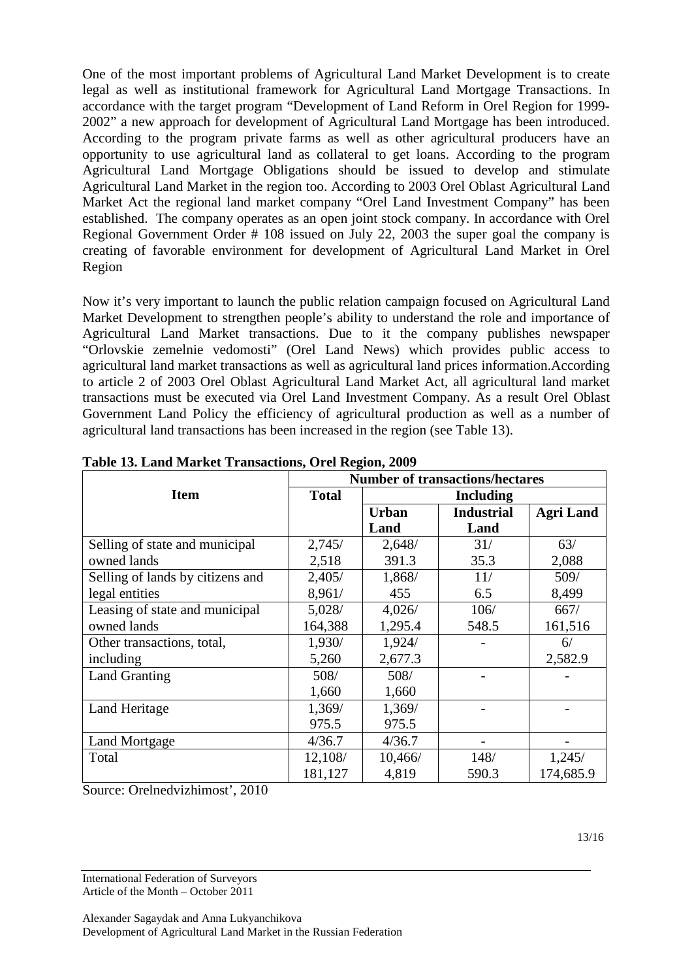One of the most important problems of Agricultural Land Market Development is to create legal as well as institutional framework for Agricultural Land Mortgage Transactions. In accordance with the target program "Development of Land Reform in Orel Region for 1999- 2002" a new approach for development of Agricultural Land Mortgage has been introduced. According to the program private farms as well as other agricultural producers have an opportunity to use agricultural land as collateral to get loans. According to the program Agricultural Land Mortgage Obligations should be issued to develop and stimulate Agricultural Land Market in the region too. According to 2003 Orel Oblast Agricultural Land Market Act the regional land market company "Orel Land Investment Company" has been established. The company operates as an open joint stock company. In accordance with Orel Regional Government Order # 108 issued on July 22, 2003 the super goal the company is creating of favorable environment for development of Agricultural Land Market in Orel Region

Now it's very important to launch the public relation campaign focused on Agricultural Land Market Development to strengthen people's ability to understand the role and importance of Agricultural Land Market transactions. Due to it the company publishes newspaper "Orlovskie zemelnie vedomosti" (Orel Land News) which provides public access to agricultural land market transactions as well as agricultural land prices information.According to article 2 of 2003 Orel Oblast Agricultural Land Market Act, all agricultural land market transactions must be executed via Orel Land Investment Company. As a result Orel Oblast Government Land Policy the efficiency of agricultural production as well as a number of agricultural land transactions has been increased in the region (see Table 13).

|                                  |              | <b>Number of transactions/hectares</b> |                   |                  |  |
|----------------------------------|--------------|----------------------------------------|-------------------|------------------|--|
| <b>Item</b>                      | <b>Total</b> | <b>Including</b>                       |                   |                  |  |
|                                  |              | <b>Urban</b>                           | <b>Industrial</b> | <b>Agri Land</b> |  |
|                                  |              | Land                                   | Land              |                  |  |
| Selling of state and municipal   | 2,745/       | 2,648/                                 | 31/               | 63/              |  |
| owned lands                      | 2,518        | 391.3                                  | 35.3              | 2,088            |  |
| Selling of lands by citizens and | 2,405/       | 1,868/                                 | 11/               | 509/             |  |
| legal entities                   | 8,961/       | 455                                    | 6.5               | 8,499            |  |
| Leasing of state and municipal   | 5,028/       | 4,026/                                 | 106/              | 667/             |  |
| owned lands                      | 164,388      | 1,295.4                                | 548.5             | 161,516          |  |
| Other transactions, total,       | 1,930/       | 1,924/                                 |                   | 6/               |  |
| including                        | 5,260        | 2,677.3                                |                   | 2,582.9          |  |
| Land Granting                    | 508/         | 508/                                   |                   |                  |  |
|                                  | 1,660        | 1,660                                  |                   |                  |  |
| Land Heritage                    | 1,369/       | 1,369/                                 |                   |                  |  |
|                                  | 975.5        | 975.5                                  |                   |                  |  |
| <b>Land Mortgage</b>             | 4/36.7       | 4/36.7                                 |                   |                  |  |
| Total                            | 12,108/      | 10,466/                                | 148/              | 1,245/           |  |
|                                  | 181,127      | 4,819                                  | 590.3             | 174,685.9        |  |

**Table 13. Land Market Transactions, Orel Region, 2009** 

Source: Orelnedvizhimost', 2010

13/16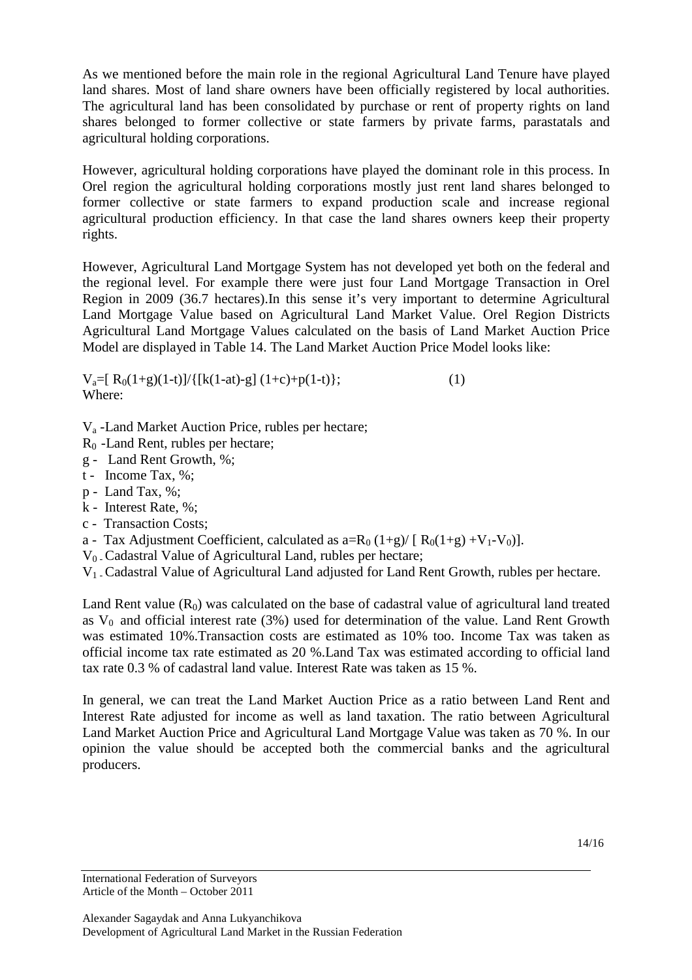As we mentioned before the main role in the regional Agricultural Land Tenure have played land shares. Most of land share owners have been officially registered by local authorities. The agricultural land has been consolidated by purchase or rent of property rights on land shares belonged to former collective or state farmers by private farms, parastatals and agricultural holding corporations.

However, agricultural holding corporations have played the dominant role in this process. In Orel region the agricultural holding corporations mostly just rent land shares belonged to former collective or state farmers to expand production scale and increase regional agricultural production efficiency. In that case the land shares owners keep their property rights.

However, Agricultural Land Mortgage System has not developed yet both on the federal and the regional level. For example there were just four Land Mortgage Transaction in Orel Region in 2009 (36.7 hectares).In this sense it's very important to determine Agricultural Land Mortgage Value based on Agricultural Land Market Value. Orel Region Districts Agricultural Land Mortgage Values calculated on the basis of Land Market Auction Price Model are displayed in Table 14. The Land Market Auction Price Model looks like:

 $V_a=[R_0(1+g)(1-t)]/{[(k(1-at)-g](1+c)+p(1-t)]};$  (1) Where:

Va -Land Market Auction Price, rubles per hectare;

- R0 -Land Rent, rubles per hectare;
- g Land Rent Growth, %;
- t Income Tax, %;
- p Land Tax, %;
- k Interest Rate, %;
- c Transaction Costs;
- a Tax Adjustment Coefficient, calculated as  $a=R_0 (1+g)/[R_0(1+g) + V_1 V_0]$ .
- $V_0$ . Cadastral Value of Agricultural Land, rubles per hectare;
- V1 Cadastral Value of Agricultural Land adjusted for Land Rent Growth, rubles per hectare.

Land Rent value  $(R_0)$  was calculated on the base of cadastral value of agricultural land treated as  $V_0$  and official interest rate (3%) used for determination of the value. Land Rent Growth was estimated 10%.Transaction costs are estimated as 10% too. Income Tax was taken as official income tax rate estimated as 20 %.Land Tax was estimated according to official land tax rate 0.3 % of cadastral land value. Interest Rate was taken as 15 %.

In general, we can treat the Land Market Auction Price as a ratio between Land Rent and Interest Rate adjusted for income as well as land taxation. The ratio between Agricultural Land Market Auction Price and Agricultural Land Mortgage Value was taken as 70 %. In our opinion the value should be accepted both the commercial banks and the agricultural producers.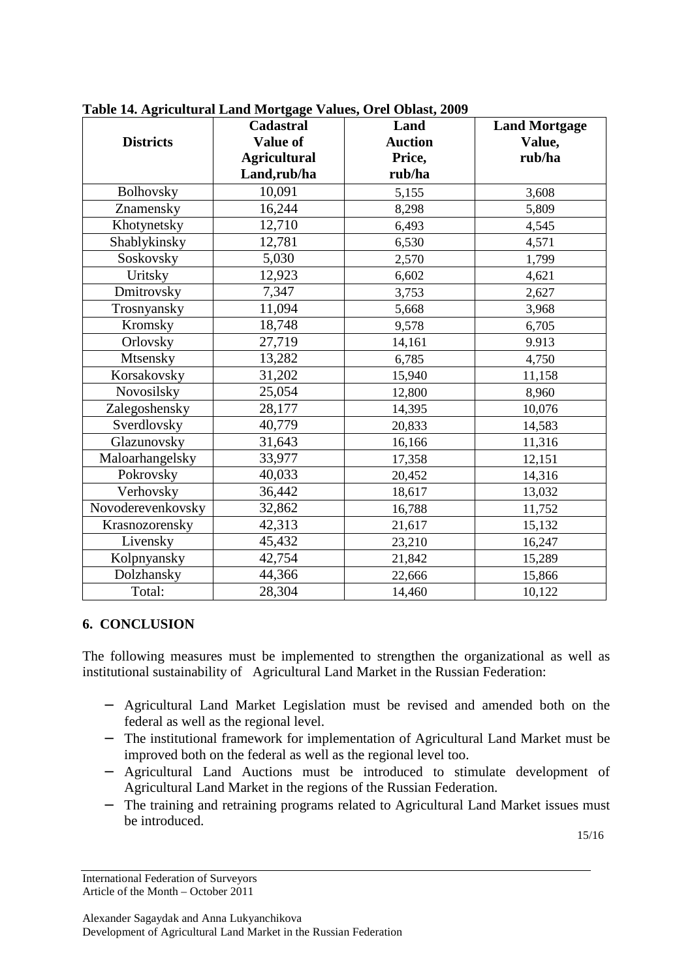|                   | Cadastral           | Land           | <b>Land Mortgage</b> |
|-------------------|---------------------|----------------|----------------------|
| <b>Districts</b>  | <b>Value of</b>     | <b>Auction</b> | Value,               |
|                   | <b>Agricultural</b> | Price,         | rub/ha               |
|                   | Land,rub/ha         | rub/ha         |                      |
| Bolhovsky         | 10,091              | 5,155          | 3,608                |
| Znamensky         | 16,244              | 8,298          | 5,809                |
| Khotynetsky       | 12,710              | 6,493          | 4,545                |
| Shablykinsky      | 12,781              | 6,530          | 4,571                |
| Soskovsky         | 5,030               | 2,570          | 1,799                |
| Uritsky           | 12,923              | 6,602          | 4,621                |
| Dmitrovsky        | 7,347               | 3,753          | 2,627                |
| Trosnyansky       | 11,094              | 5,668          | 3,968                |
| Kromsky           | 18,748              | 9,578          | 6,705                |
| Orlovsky          | 27,719              | 14,161         | 9.913                |
| Mtsensky          | 13,282              | 6,785          | 4,750                |
| Korsakovsky       | 31,202              | 15,940         | 11,158               |
| Novosilsky        | 25,054              | 12,800         | 8,960                |
| Zalegoshensky     | 28,177              | 14,395         | 10,076               |
| Sverdlovsky       | 40,779              | 20,833         | 14,583               |
| Glazunovsky       | 31,643              | 16,166         | 11,316               |
| Maloarhangelsky   | 33,977              | 17,358         | 12,151               |
| Pokrovsky         | 40,033              | 20,452         | 14,316               |
| Verhovsky         | 36,442              | 18,617         | 13,032               |
| Novoderevenkovsky | 32,862              | 16,788         | 11,752               |
| Krasnozorensky    | 42,313              | 21,617         | 15,132               |
| Livensky          | 45,432              | 23,210         | 16,247               |
| Kolpnyansky       | 42,754              | 21,842         | 15,289               |
| Dolzhansky        | 44,366              | 22,666         | 15,866               |
| Total:            | 28,304              | 14,460         | 10,122               |

**Table 14. Agricultural Land Mortgage Values, Orel Oblast, 2009** 

#### **6. CONCLUSION**

The following measures must be implemented to strengthen the organizational as well as institutional sustainability of Agricultural Land Market in the Russian Federation:

- − Agricultural Land Market Legislation must be revised and amended both on the federal as well as the regional level.
- − The institutional framework for implementation of Agricultural Land Market must be improved both on the federal as well as the regional level too.
- − Agricultural Land Auctions must be introduced to stimulate development of Agricultural Land Market in the regions of the Russian Federation.
- − The training and retraining programs related to Agricultural Land Market issues must be introduced.

15/16